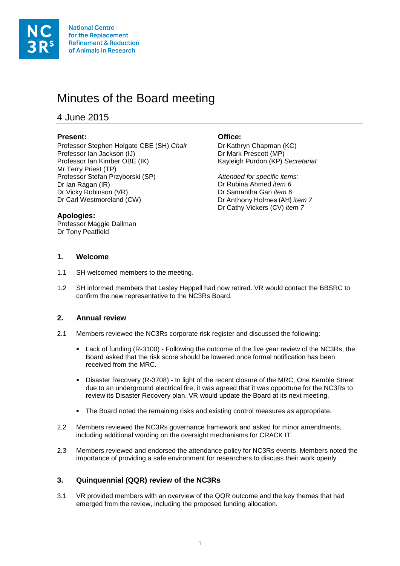

# Minutes of the Board meeting

4 June 2015

# **Present: Office:**

Professor Stephen Holgate CBE (SH) *Chair* Dr Kathryn Chapman (KC)<br>Professor Ian Jackson (IJ) Dr Mark Prescott (MP) Professor Ian Jackson (IJ)<br>
Professor Ian Kimber OBE (IK) 
Brofessor Ian Kimber OBE (IK) 
Brofessor Ian Kimber OBE (IK) Professor Ian Kimber OBE (IK) Mr Terry Priest (TP) Professor Stefan Przyborski (SP) *Attended for specific items:* Dr Ian Ragan (IR) Dr Rubina Ahmed *item 6* Dr Vicky Robinson (VR)<br>Dr Carl Westmoreland *(CW)* 

Dr Anthony Holmes (AH) *item 7* Dr Cathy Vickers (CV) *item 7*

# **Apologies:**

Professor Maggie Dallman Dr Tony Peatfield

# **1. Welcome**

- 1.1 SH welcomed members to the meeting.
- 1.2 SH informed members that Lesley Heppell had now retired. VR would contact the BBSRC to confirm the new representative to the NC3Rs Board.

# **2. Annual review**

- 2.1 Members reviewed the NC3Rs corporate risk register and discussed the following:
	- Lack of funding (R-3100) Following the outcome of the five year review of the NC3Rs, the Board asked that the risk score should be lowered once formal notification has been received from the MRC.
	- Disaster Recovery (R-3708) In light of the recent closure of the MRC, One Kemble Street due to an underground electrical fire, it was agreed that it was opportune for the NC3Rs to review its Disaster Recovery plan. VR would update the Board at its next meeting.
	- The Board noted the remaining risks and existing control measures as appropriate.
- 2.2 Members reviewed the NC3Rs governance framework and asked for minor amendments, including additional wording on the oversight mechanisms for CRACK IT.
- 2.3 Members reviewed and endorsed the attendance policy for NC3Rs events. Members noted the importance of providing a safe environment for researchers to discuss their work openly.

# **3. Quinquennial (QQR) review of the NC3Rs**

3.1 VR provided members with an overview of the QQR outcome and the key themes that had emerged from the review, including the proposed funding allocation.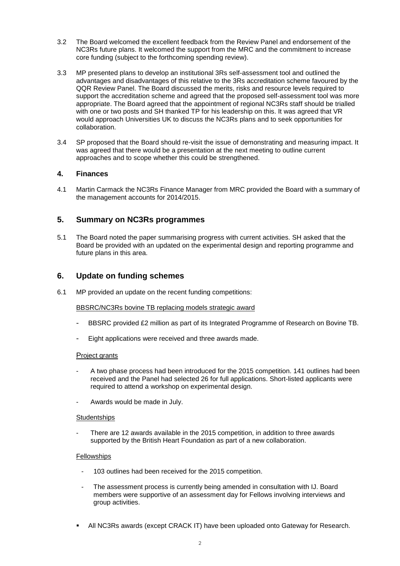- 3.2 The Board welcomed the excellent feedback from the Review Panel and endorsement of the NC3Rs future plans. It welcomed the support from the MRC and the commitment to increase core funding (subject to the forthcoming spending review).
- 3.3 MP presented plans to develop an institutional 3Rs self-assessment tool and outlined the advantages and disadvantages of this relative to the 3Rs accreditation scheme favoured by the QQR Review Panel. The Board discussed the merits, risks and resource levels required to support the accreditation scheme and agreed that the proposed self-assessment tool was more appropriate. The Board agreed that the appointment of regional NC3Rs staff should be trialled with one or two posts and SH thanked TP for his leadership on this. It was agreed that VR would approach Universities UK to discuss the NC3Rs plans and to seek opportunities for collaboration.
- 3.4 SP proposed that the Board should re-visit the issue of demonstrating and measuring impact. It was agreed that there would be a presentation at the next meeting to outline current approaches and to scope whether this could be strengthened.

## **4. Finances**

4.1 Martin Carmack the NC3Rs Finance Manager from MRC provided the Board with a summary of the management accounts for 2014/2015.

# **5. Summary on NC3Rs programmes**

5.1 The Board noted the paper summarising progress with current activities. SH asked that the Board be provided with an updated on the experimental design and reporting programme and future plans in this area.

# **6. Update on funding schemes**

6.1 MP provided an update on the recent funding competitions:

### BBSRC/NC3Rs bovine TB replacing models strategic award

- BBSRC provided £2 million as part of its Integrated Programme of Research on Bovine TB.
- Eight applications were received and three awards made.

#### Project grants

- A two phase process had been introduced for the 2015 competition. 141 outlines had been received and the Panel had selected 26 for full applications. Short-listed applicants were required to attend a workshop on experimental design.
- Awards would be made in July.

#### **Studentships**

There are 12 awards available in the 2015 competition, in addition to three awards supported by the British Heart Foundation as part of a new collaboration.

### Fellowships

- 103 outlines had been received for the 2015 competition.
- The assessment process is currently being amended in consultation with IJ. Board members were supportive of an assessment day for Fellows involving interviews and group activities.
- All NC3Rs awards (except CRACK IT) have been uploaded onto Gateway for Research.